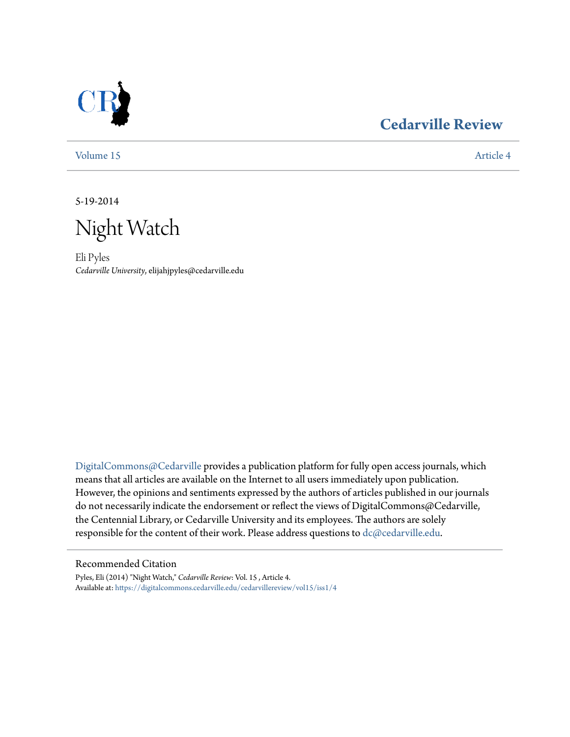

### **[Cedarville Review](https://digitalcommons.cedarville.edu/cedarvillereview?utm_source=digitalcommons.cedarville.edu%2Fcedarvillereview%2Fvol15%2Fiss1%2F4&utm_medium=PDF&utm_campaign=PDFCoverPages)**

[Volume 15](https://digitalcommons.cedarville.edu/cedarvillereview/vol15?utm_source=digitalcommons.cedarville.edu%2Fcedarvillereview%2Fvol15%2Fiss1%2F4&utm_medium=PDF&utm_campaign=PDFCoverPages) [Article 4](https://digitalcommons.cedarville.edu/cedarvillereview/vol15/iss1/4?utm_source=digitalcommons.cedarville.edu%2Fcedarvillereview%2Fvol15%2Fiss1%2F4&utm_medium=PDF&utm_campaign=PDFCoverPages)

5-19-2014

Night Watch

Eli Pyles *Cedarville University*, elijahjpyles@cedarville.edu

[DigitalCommons@Cedarville](http://digitalcommons.cedarville.edu) provides a publication platform for fully open access journals, which means that all articles are available on the Internet to all users immediately upon publication. However, the opinions and sentiments expressed by the authors of articles published in our journals do not necessarily indicate the endorsement or reflect the views of DigitalCommons@Cedarville, the Centennial Library, or Cedarville University and its employees. The authors are solely responsible for the content of their work. Please address questions to [dc@cedarville.edu](mailto:dc@cedarville.edu).

#### Recommended Citation

Pyles, Eli (2014) "Night Watch," *Cedarville Review*: Vol. 15 , Article 4. Available at: [https://digitalcommons.cedarville.edu/cedarvillereview/vol15/iss1/4](https://digitalcommons.cedarville.edu/cedarvillereview/vol15/iss1/4?utm_source=digitalcommons.cedarville.edu%2Fcedarvillereview%2Fvol15%2Fiss1%2F4&utm_medium=PDF&utm_campaign=PDFCoverPages)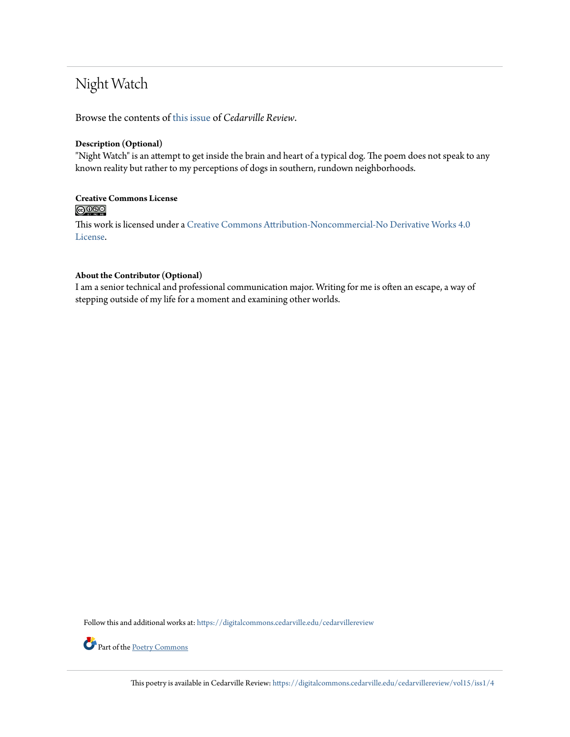## Night Watch

Browse the contents of [this issue](https://digitalcommons.cedarville.edu/cedarvillereview/vol15/iss1) of *Cedarville Review*.

#### **Description (Optional)**

"Night Watch" is an attempt to get inside the brain and heart of a typical dog. The poem does not speak to any known reality but rather to my perceptions of dogs in southern, rundown neighborhoods.

# Creative Commons License<br> **@ 089**

This work is licensed under a [Creative Commons Attribution-Noncommercial-No Derivative Works 4.0](http://creativecommons.org/licenses/by-nc-nd/4.0/) [License.](http://creativecommons.org/licenses/by-nc-nd/4.0/)

#### **About the Contributor (Optional)**

I am a senior technical and professional communication major. Writing for me is often an escape, a way of stepping outside of my life for a moment and examining other worlds.

Follow this and additional works at: [https://digitalcommons.cedarville.edu/cedarvillereview](https://digitalcommons.cedarville.edu/cedarvillereview?utm_source=digitalcommons.cedarville.edu%2Fcedarvillereview%2Fvol15%2Fiss1%2F4&utm_medium=PDF&utm_campaign=PDFCoverPages)



Part of the <u>[Poetry Commons](http://network.bepress.com/hgg/discipline/1153?utm_source=digitalcommons.cedarville.edu%2Fcedarvillereview%2Fvol15%2Fiss1%2F4&utm_medium=PDF&utm_campaign=PDFCoverPages)</u>